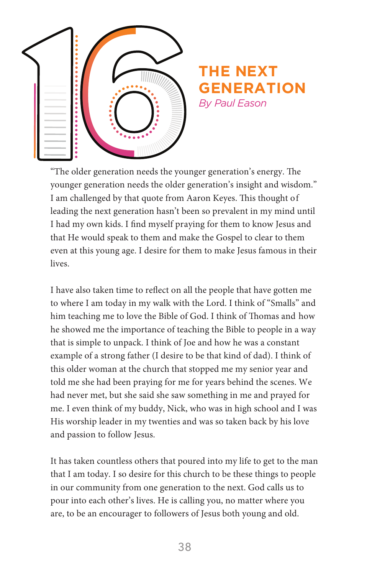

## **THE NEXT GENERATION** *By Paul Eason*

"The older generation needs the younger generation's energy. The younger generation needs the older generation's insight and wisdom." I am challenged by that quote from Aaron Keyes. This thought of leading the next generation hasn't been so prevalent in my mind until I had my own kids. I find myself praying for them to know Jesus and that He would speak to them and make the Gospel to clear to them even at this young age. I desire for them to make Jesus famous in their lives.

I have also taken time to reflect on all the people that have gotten me to where I am today in my walk with the Lord. I think of "Smalls" and him teaching me to love the Bible of God. I think of Thomas and how he showed me the importance of teaching the Bible to people in a way that is simple to unpack. I think of Joe and how he was a constant example of a strong father (I desire to be that kind of dad). I think of this older woman at the church that stopped me my senior year and told me she had been praying for me for years behind the scenes. We had never met, but she said she saw something in me and prayed for me. I even think of my buddy, Nick, who was in high school and I was His worship leader in my twenties and was so taken back by his love and passion to follow Jesus.

It has taken countless others that poured into my life to get to the man that I am today. I so desire for this church to be these things to people in our community from one generation to the next. God calls us to pour into each other's lives. He is calling you, no matter where you are, to be an encourager to followers of Jesus both young and old.